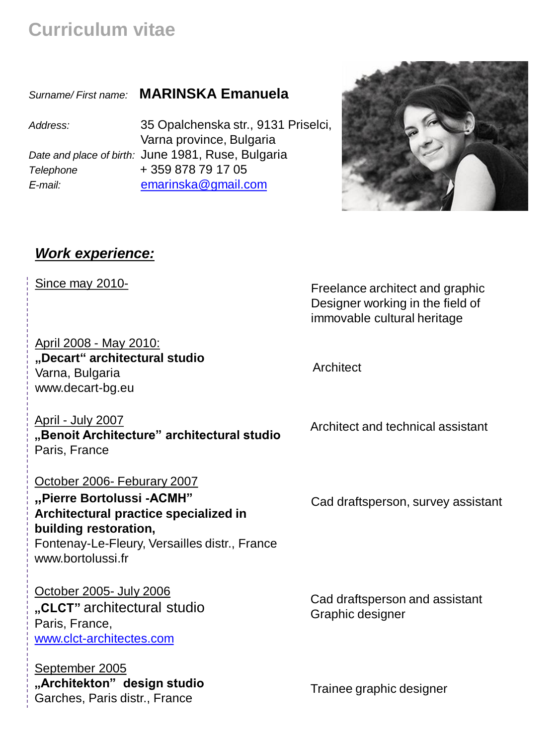**Curriculum vitae**

*Surname/ First name:* **MARINSKA Emanuela**

*Address:* 35 Opalchenska str., 9131 Priselci, *Telephone* + 359 878 79 17 05

# Varna province, Bulgaria *Date and place of birth:* June 1981, Ruse, Bulgaria *Е-mail:* [emarinska@gmail.com](mailto:e_marinska@yahoo.com)



#### *Work experience:*

Since may 2010-

April 2008 - May 2010: **"Decart" architectural studio** Varna, Bulgaria www.decart-bg.eu

Freelance architect and graphic Designer working in the field of immovable cultural heritage

**Architect** 

April - July 2007 **"Benoit Architecture" architectural studio** Paris, France

#### October 2006- Feburary 2007

**"Pierre Bortolussi -ACMH" Architectural practice specialized in building restoration,** Fontenay-Le-Fleury, Versailles distr., France www.bortolussi.fr

October 2005- July 2006 **"CLCT"** architectural studio Paris, France, [www.clct-architectes.com](http://www.clct-architectes.com/)

September 2005 **"Architekton" design studio** Garches, Paris distr., France

Architect and technical assistant

Cad draftsperson, survey assistant

Cad draftsperson and assistant Graphic designer

Trainee graphic designer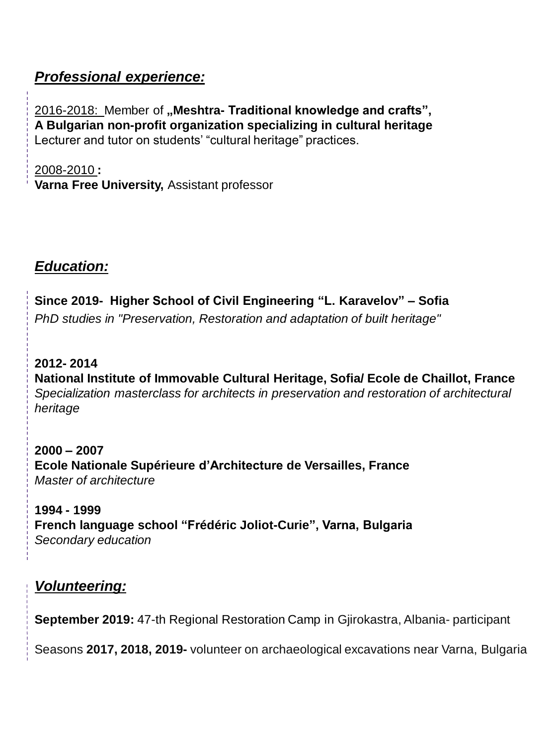## *Professional experience:*

2016-2018: Member of **"Meshtra- Traditional knowledge and crafts", A Bulgarian non-profit organization specializing in cultural heritage**  Lecturer and tutor on students' "cultural heritage" practices.

2008-2010 **: Varna Free University,** Assistant professor

### *Education:*

**Since 2019- Higher School of Civil Engineering "L. Karavelov" – Sofia** *PhD studies in "Preservation, Restoration and adaptation of built heritage"*

**2012- 2014 National Institute of Immovable Cultural Heritage, Sofia/ Ecole de Chaillot, France** *Specialization masterclass for architects in preservation and restoration of architectural heritage*

**2000 – 2007 Ecole Nationale Supérieure d'Architecture de Versailles, France** *Master of architecture*

**1994 - 1999 French language school "Frédéric Joliot-Curie", Varna, Bulgaria** *Secondary education*

## *Volunteering:*

**September 2019:** 47-th Regional Restoration Camp in Gjirokastra, Albania- participant

Seasons **2017, 2018, 2019-** volunteer on archaeological excavations near Varna, Bulgaria